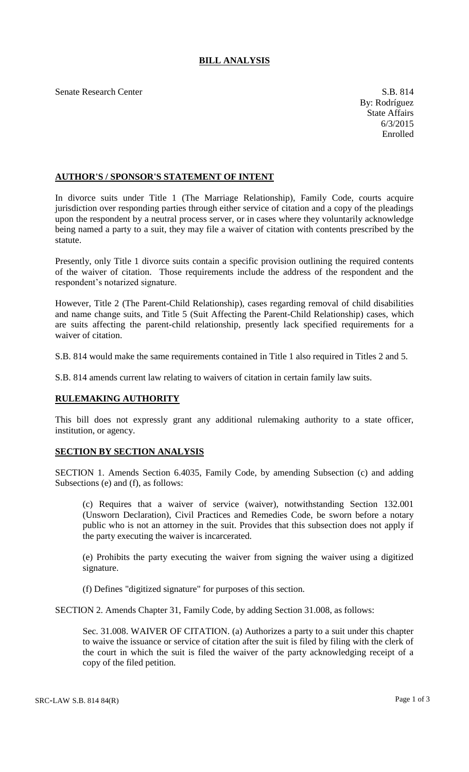## **BILL ANALYSIS**

Senate Research Center S.B. 814

## **AUTHOR'S / SPONSOR'S STATEMENT OF INTENT**

In divorce suits under Title 1 (The Marriage Relationship), Family Code, courts acquire jurisdiction over responding parties through either service of citation and a copy of the pleadings upon the respondent by a neutral process server, or in cases where they voluntarily acknowledge being named a party to a suit, they may file a waiver of citation with contents prescribed by the statute.

Presently, only Title 1 divorce suits contain a specific provision outlining the required contents of the waiver of citation. Those requirements include the address of the respondent and the respondent's notarized signature.

However, Title 2 (The Parent-Child Relationship), cases regarding removal of child disabilities and name change suits, and Title 5 (Suit Affecting the Parent-Child Relationship) cases, which are suits affecting the parent-child relationship, presently lack specified requirements for a waiver of citation.

S.B. 814 would make the same requirements contained in Title 1 also required in Titles 2 and 5.

S.B. 814 amends current law relating to waivers of citation in certain family law suits.

## **RULEMAKING AUTHORITY**

This bill does not expressly grant any additional rulemaking authority to a state officer, institution, or agency.

## **SECTION BY SECTION ANALYSIS**

SECTION 1. Amends Section 6.4035, Family Code, by amending Subsection (c) and adding Subsections (e) and (f), as follows:

(c) Requires that a waiver of service (waiver), notwithstanding Section 132.001 (Unsworn Declaration), Civil Practices and Remedies Code, be sworn before a notary public who is not an attorney in the suit. Provides that this subsection does not apply if the party executing the waiver is incarcerated.

(e) Prohibits the party executing the waiver from signing the waiver using a digitized signature.

(f) Defines "digitized signature" for purposes of this section.

SECTION 2. Amends Chapter 31, Family Code, by adding Section 31.008, as follows:

Sec. 31.008. WAIVER OF CITATION. (a) Authorizes a party to a suit under this chapter to waive the issuance or service of citation after the suit is filed by filing with the clerk of the court in which the suit is filed the waiver of the party acknowledging receipt of a copy of the filed petition.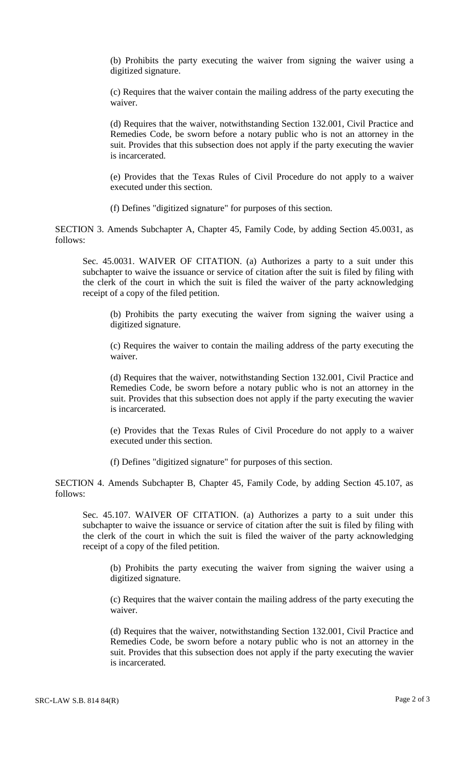(b) Prohibits the party executing the waiver from signing the waiver using a digitized signature.

(c) Requires that the waiver contain the mailing address of the party executing the waiver.

(d) Requires that the waiver, notwithstanding Section 132.001, Civil Practice and Remedies Code, be sworn before a notary public who is not an attorney in the suit. Provides that this subsection does not apply if the party executing the wavier is incarcerated.

(e) Provides that the Texas Rules of Civil Procedure do not apply to a waiver executed under this section.

(f) Defines "digitized signature" for purposes of this section.

SECTION 3. Amends Subchapter A, Chapter 45, Family Code, by adding Section 45.0031, as follows:

Sec. 45.0031. WAIVER OF CITATION. (a) Authorizes a party to a suit under this subchapter to waive the issuance or service of citation after the suit is filed by filing with the clerk of the court in which the suit is filed the waiver of the party acknowledging receipt of a copy of the filed petition.

(b) Prohibits the party executing the waiver from signing the waiver using a digitized signature.

(c) Requires the waiver to contain the mailing address of the party executing the waiver.

(d) Requires that the waiver, notwithstanding Section 132.001, Civil Practice and Remedies Code, be sworn before a notary public who is not an attorney in the suit. Provides that this subsection does not apply if the party executing the wavier is incarcerated.

(e) Provides that the Texas Rules of Civil Procedure do not apply to a waiver executed under this section.

(f) Defines "digitized signature" for purposes of this section.

SECTION 4. Amends Subchapter B, Chapter 45, Family Code, by adding Section 45.107, as follows:

Sec. 45.107. WAIVER OF CITATION. (a) Authorizes a party to a suit under this subchapter to waive the issuance or service of citation after the suit is filed by filing with the clerk of the court in which the suit is filed the waiver of the party acknowledging receipt of a copy of the filed petition.

(b) Prohibits the party executing the waiver from signing the waiver using a digitized signature.

(c) Requires that the waiver contain the mailing address of the party executing the waiver.

(d) Requires that the waiver, notwithstanding Section 132.001, Civil Practice and Remedies Code, be sworn before a notary public who is not an attorney in the suit. Provides that this subsection does not apply if the party executing the wavier is incarcerated.